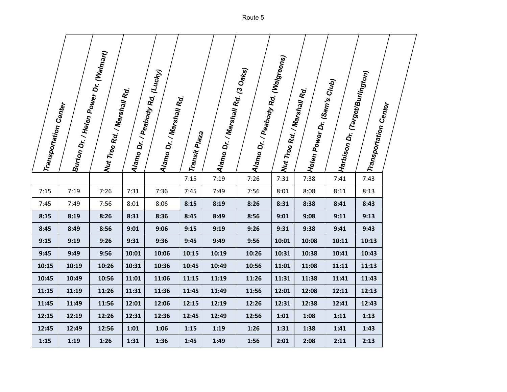| Transportation Center |       | Burton Dr. / Helen Power Dr. (Walmart)<br>Wut Tree Rd. / Marshall Rd.<br>Marshall Rd. |       | Alamo Dr. / Peabody Rd. (Lucky)<br>Alamo Dr. / Marshall Rd.<br>. | Transit Plaz <sub>a</sub> | ;  Alamo Dr. / Marshall Rd. (3 Oaks) | Alamo Dr. / Peabody Rd. (Walgreens) |       | , <sup>:</sup>  Helen Power Dr. (Sam's Club)<br>: Wut Tree Rd. / Marshall Rd.<br>Marshall Rd. | :  Harbison Dr. (Target/Burlington) | <sup> Transportation Center</sup> |  |
|-----------------------|-------|---------------------------------------------------------------------------------------|-------|------------------------------------------------------------------|---------------------------|--------------------------------------|-------------------------------------|-------|-----------------------------------------------------------------------------------------------|-------------------------------------|-----------------------------------|--|
|                       |       |                                                                                       |       |                                                                  | 7:15                      | 7:19                                 | 7:26                                | 7:31  | 7:38                                                                                          | 7:41                                | 7:43                              |  |
| 7:15                  | 7:19  | 7:26                                                                                  | 7:31  | 7:36                                                             | 7:45                      | 7:49                                 | 7:56                                | 8:01  | 8:08                                                                                          | 8:11                                | 8:13                              |  |
| 7:45                  | 7:49  | 7:56                                                                                  | 8:01  | 8:06                                                             | 8:15                      | 8:19                                 | 8:26                                | 8:31  | 8:38                                                                                          | 8:41                                | 8:43                              |  |
| 8:15                  | 8:19  | 8:26                                                                                  | 8:31  | 8:36                                                             | 8:45                      | 8:49                                 | 8:56                                | 9:01  | 9:08                                                                                          | 9:11                                | 9:13                              |  |
| 8:45                  | 8:49  | 8:56                                                                                  | 9:01  | 9:06                                                             | 9:15                      | 9:19                                 | 9:26                                | 9:31  | 9:38                                                                                          | 9:41                                | 9:43                              |  |
| 9:15                  | 9:19  | 9:26                                                                                  | 9:31  | 9:36                                                             | 9:45                      | 9:49                                 | 9:56                                | 10:01 | 10:08                                                                                         | 10:11                               | 10:13                             |  |
| 9:45                  | 9:49  | 9:56                                                                                  | 10:01 | 10:06                                                            | 10:15                     | 10:19                                | 10:26                               | 10:31 | 10:38                                                                                         | 10:41                               | 10:43                             |  |
| 10:15                 | 10:19 | 10:26                                                                                 | 10:31 | 10:36                                                            | 10:45                     | 10:49                                | 10:56                               | 11:01 | 11:08                                                                                         | 11:11                               | 11:13                             |  |
| 10:45                 | 10:49 | 10:56                                                                                 | 11:01 | 11:06                                                            | 11:15                     | 11:19                                | 11:26                               | 11:31 | 11:38                                                                                         | 11:41                               | 11:43                             |  |
| 11:15                 | 11:19 | 11:26                                                                                 | 11:31 | 11:36                                                            | 11:45                     | 11:49                                | 11:56                               | 12:01 | 12:08                                                                                         | 12:11                               | 12:13                             |  |
| 11:45                 | 11:49 | 11:56                                                                                 | 12:01 | 12:06                                                            | 12:15                     | 12:19                                | 12:26                               | 12:31 | 12:38                                                                                         | 12:41                               | 12:43                             |  |
| 12:15                 | 12:19 | 12:26                                                                                 | 12:31 | 12:36                                                            | 12:45                     | 12:49                                | 12:56                               | 1:01  | 1:08                                                                                          | 1:11                                | 1:13                              |  |
| 12:45                 | 12:49 | 12:56                                                                                 | 1:01  | 1:06                                                             | 1:15                      | 1:19                                 | 1:26                                | 1:31  | 1:38                                                                                          | 1:41                                | 1:43                              |  |
| 1:15                  | 1:19  | 1:26                                                                                  | 1:31  | 1:36                                                             | 1:45                      | 1:49                                 | 1:56                                | 2:01  | 2:08                                                                                          | 2:11                                | 2:13                              |  |

Route 5